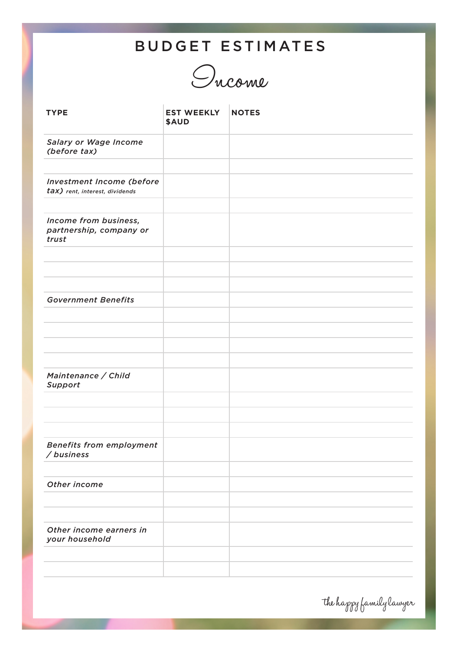## BUDGET ESTIMATES



| <b>TYPE</b>                                                 | <b>EST WEEKLY</b><br><b>\$AUD</b> | <b>NOTES</b> |
|-------------------------------------------------------------|-----------------------------------|--------------|
| Salary or Wage Income<br>(before tax)                       |                                   |              |
|                                                             |                                   |              |
| Investment Income (before<br>tax) rent, interest, dividends |                                   |              |
| Income from business,<br>partnership, company or<br>trust   |                                   |              |
|                                                             |                                   |              |
|                                                             |                                   |              |
| <b>Government Benefits</b>                                  |                                   |              |
|                                                             |                                   |              |
|                                                             |                                   |              |
|                                                             |                                   |              |
| Maintenance / Child<br>Support                              |                                   |              |
|                                                             |                                   |              |
|                                                             |                                   |              |
|                                                             |                                   |              |
| <b>Benefits from employment</b><br>/business                |                                   |              |
|                                                             |                                   |              |
| Other income                                                |                                   |              |
|                                                             |                                   |              |
|                                                             |                                   |              |
| Other income earners in<br>your household                   |                                   |              |
|                                                             |                                   |              |
|                                                             |                                   |              |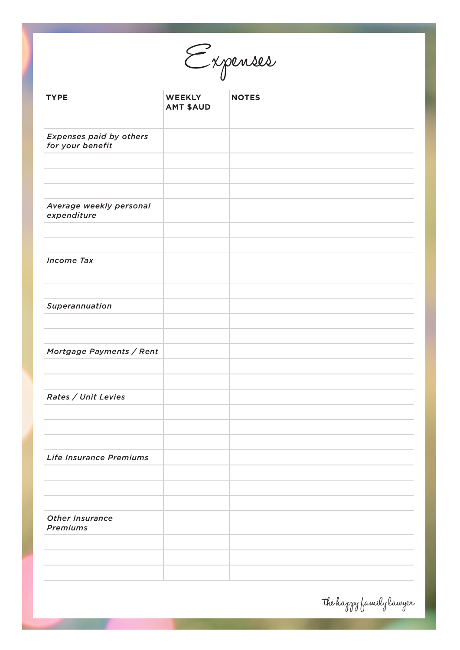Expenses

| <b>TYPE</b>                                        | <b>WEEKLY</b><br><b>AMT \$AUD</b> | <b>NOTES</b> |
|----------------------------------------------------|-----------------------------------|--------------|
| <b>Expenses paid by others</b><br>for your benefit |                                   |              |
|                                                    |                                   |              |
|                                                    |                                   |              |
| Average weekly personal<br>expenditure             |                                   |              |
| <b>Income Tax</b>                                  |                                   |              |
|                                                    |                                   |              |
| Superannuation                                     |                                   |              |
|                                                    |                                   |              |
| Mortgage Payments / Rent                           |                                   |              |
|                                                    |                                   |              |
| Rates / Unit Levies                                |                                   |              |
|                                                    |                                   |              |
|                                                    |                                   |              |
| Life Insurance Premiums                            |                                   |              |
|                                                    |                                   |              |
| Other Insurance<br><b>Premiums</b>                 |                                   |              |
|                                                    |                                   |              |
|                                                    |                                   |              |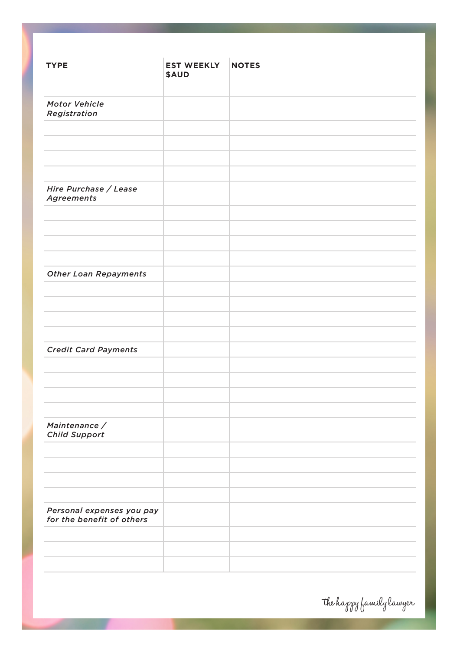| <b>TYPE</b>                                            | <b>EST WEEKLY</b><br><b>\$AUD</b> | <b>NOTES</b> |
|--------------------------------------------------------|-----------------------------------|--------------|
|                                                        |                                   |              |
| <b>Motor Vehicle</b>                                   |                                   |              |
| Registration                                           |                                   |              |
|                                                        |                                   |              |
|                                                        |                                   |              |
|                                                        |                                   |              |
|                                                        |                                   |              |
| Hire Purchase / Lease<br><b>Agreements</b>             |                                   |              |
|                                                        |                                   |              |
|                                                        |                                   |              |
|                                                        |                                   |              |
|                                                        |                                   |              |
| <b>Other Loan Repayments</b>                           |                                   |              |
|                                                        |                                   |              |
|                                                        |                                   |              |
|                                                        |                                   |              |
|                                                        |                                   |              |
| <b>Credit Card Payments</b>                            |                                   |              |
|                                                        |                                   |              |
|                                                        |                                   |              |
|                                                        |                                   |              |
|                                                        |                                   |              |
| Maintenance /                                          |                                   |              |
| <b>Child Support</b>                                   |                                   |              |
|                                                        |                                   |              |
|                                                        |                                   |              |
|                                                        |                                   |              |
|                                                        |                                   |              |
| Personal expenses you pay<br>for the benefit of others |                                   |              |
|                                                        |                                   |              |
|                                                        |                                   |              |
|                                                        |                                   |              |
|                                                        |                                   |              |